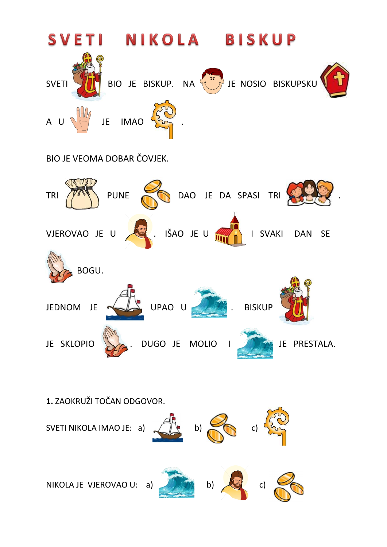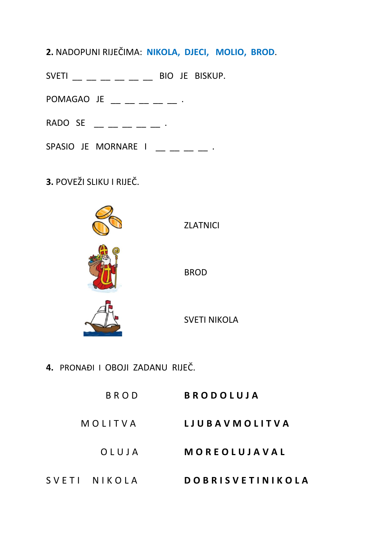- **2.** NADOPUNI RIJEČIMA: **NIKOLA, DJECI, MOLIO, BROD**.
- $SVETI$  \_\_ \_ \_ \_ \_ \_ \_ BIO JE BISKUP.
- POMAGAO JE  $\_\_$   $\_\_$   $\_\_$   $\_$
- RADO SE  $\cdot$
- SPASIO JE MORNARE I  $\_\_$   $\_\_$   $\_\_$
- **3.** POVEŽI SLIKU I RIJEČ.



**4.** PRONAĐI I OBOJI ZADANU RIJEČ.

| BROD         | <b>BRODOLUJA</b>        |
|--------------|-------------------------|
| MOLITVA      | LJUBAVMOLITVA           |
| OLUJA        | MOREOLUJAVAL            |
| SVETI NIKOLA | <b>DOBRISVETINIKOLA</b> |